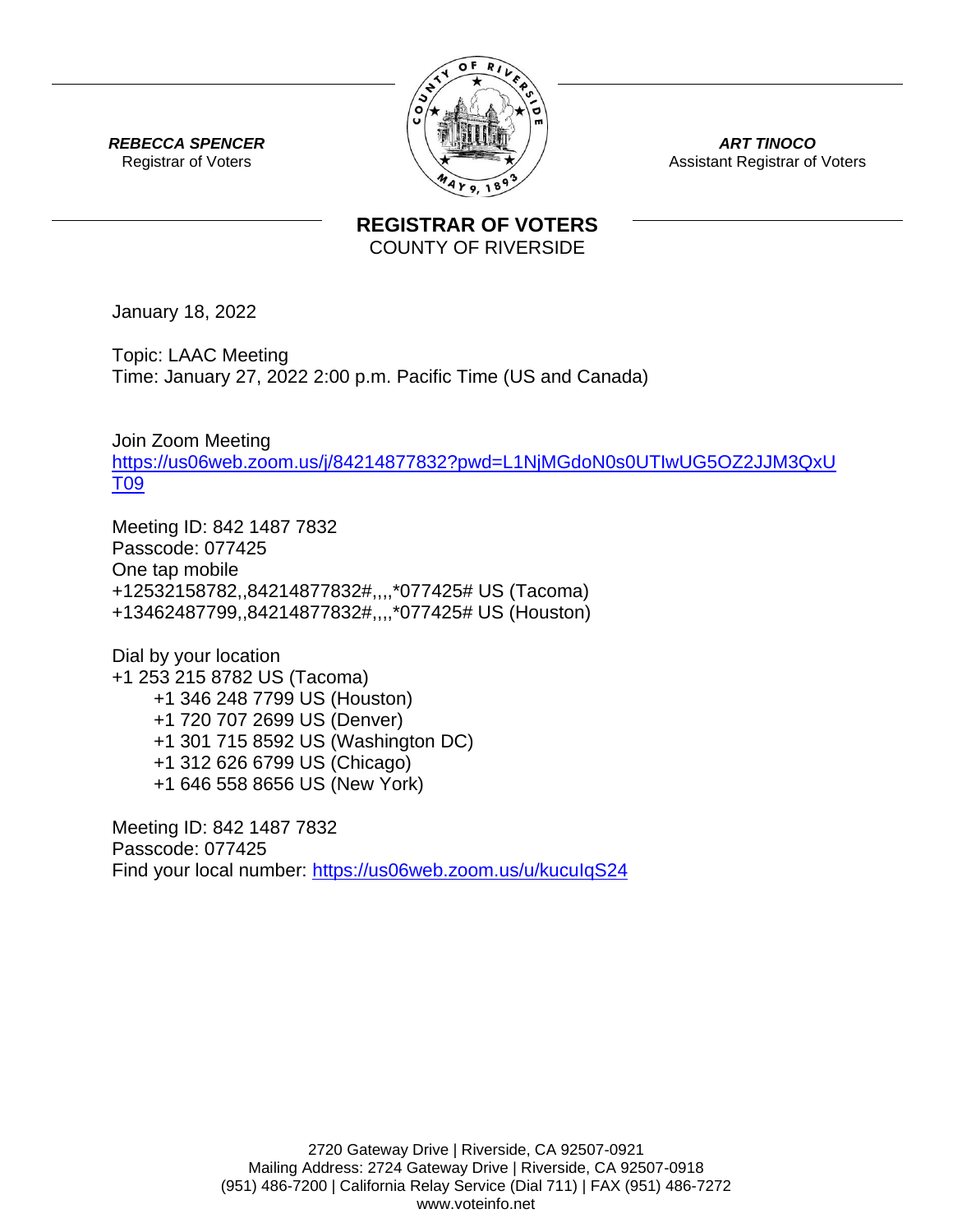

*ART TINOCO* Assistant Registrar of Voters

*REBECCA SPENCER* Registrar of Voters

## **REGISTRAR OF VOTERS** COUNTY OF RIVERSIDE

January 18, 2022

Topic: LAAC Meeting Time: January 27, 2022 2:00 p.m. Pacific Time (US and Canada)

Join Zoom Meeting [https://us06web.zoom.us/j/84214877832?pwd=L1NjMGdoN0s0UTIwUG5OZ2JJM3QxU](https://us06web.zoom.us/j/84214877832?pwd=L1NjMGdoN0s0UTIwUG5OZ2JJM3QxUT09) [T09](https://us06web.zoom.us/j/84214877832?pwd=L1NjMGdoN0s0UTIwUG5OZ2JJM3QxUT09)

Meeting ID: 842 1487 7832 Passcode: 077425 One tap mobile +12532158782,,84214877832#,,,,\*077425# US (Tacoma) +13462487799,,84214877832#,,,,\*077425# US (Houston)

Dial by your location +1 253 215 8782 US (Tacoma) +1 346 248 7799 US (Houston) +1 720 707 2699 US (Denver) +1 301 715 8592 US (Washington DC) +1 312 626 6799 US (Chicago) +1 646 558 8656 US (New York)

Meeting ID: 842 1487 7832 Passcode: 077425 Find your local number:<https://us06web.zoom.us/u/kucuIqS24>